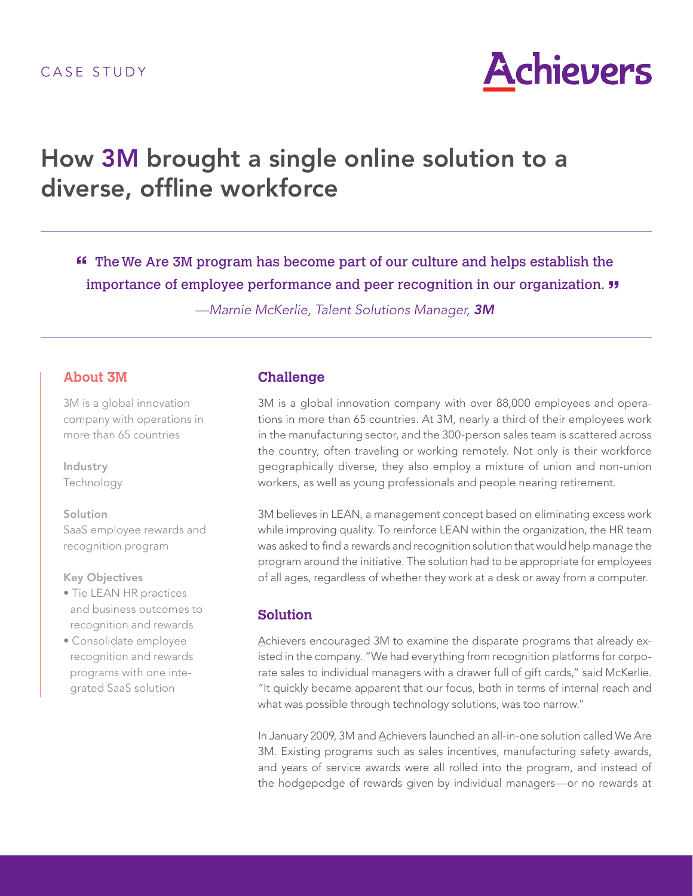

# How 3M brought a single online solution to a diverse, offline workforce

 The We Are 3M program has become part of our culture and helps establish the **"** importance of employee performance and peer recognition in our organization. **"**

—Marnie McKerlie, Talent Solutions Manager, 3M

# **About 3M**

3M is a global innovation company with operations in more than 65 countries

Industry Technology

Solution SaaS employee rewards and recognition program

#### Key Objectives

- Tie LEAN HR practices and business outcomes to recognition and rewards
- Consolidate employee recognition and rewards programs with one integrated SaaS solution

## **Challenge**

3M is a global innovation company with over 88,000 employees and operations in more than 65 countries. At 3M, nearly a third of their employees work in the manufacturing sector, and the 300-person sales team is scattered across the country, often traveling or working remotely. Not only is their workforce geographically diverse, they also employ a mixture of union and non-union workers, as well as young professionals and people nearing retirement.

3M believes in LEAN, a management concept based on eliminating excess work while improving quality. To reinforce LEAN within the organization, the HR team was asked to find a rewards and recognition solution that would help manage the program around the initiative. The solution had to be appropriate for employees of all ages, regardless of whether they work at a desk or away from a computer.

# **Solution**

Achievers encouraged 3M to examine the disparate programs that already existed in the company. "We had everything from recognition platforms for corporate sales to individual managers with a drawer full of gift cards," said McKerlie. "It quickly became apparent that our focus, both in terms of internal reach and what was possible through technology solutions, was too narrow."

In January 2009, 3M and Achievers launched an all-in-one solution called We Are 3M. Existing programs such as sales incentives, manufacturing safety awards, and years of service awards were all rolled into the program, and instead of the hodgepodge of rewards given by individual managers—or no rewards at